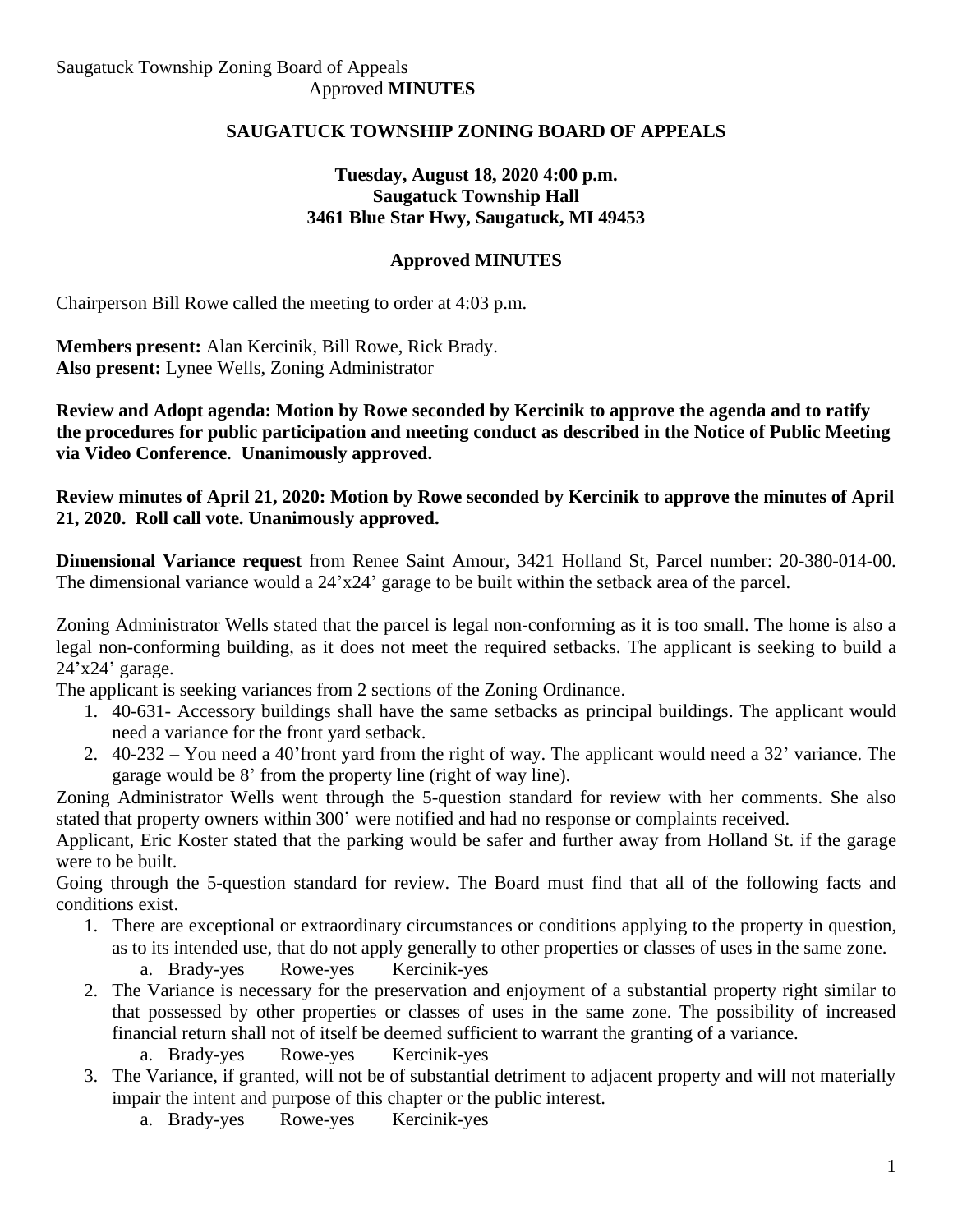## **SAUGATUCK TOWNSHIP ZONING BOARD OF APPEALS**

## **Tuesday, August 18, 2020 4:00 p.m. Saugatuck Township Hall 3461 Blue Star Hwy, Saugatuck, MI 49453**

## **Approved MINUTES**

Chairperson Bill Rowe called the meeting to order at 4:03 p.m.

**Members present:** Alan Kercinik, Bill Rowe, Rick Brady. **Also present:** Lynee Wells, Zoning Administrator

**Review and Adopt agenda: Motion by Rowe seconded by Kercinik to approve the agenda and to ratify the procedures for public participation and meeting conduct as described in the Notice of Public Meeting via Video Conference**. **Unanimously approved.**

**Review minutes of April 21, 2020: Motion by Rowe seconded by Kercinik to approve the minutes of April 21, 2020. Roll call vote. Unanimously approved.**

**Dimensional Variance request** from Renee Saint Amour, 3421 Holland St, Parcel number: 20-380-014-00. The dimensional variance would a 24'x24' garage to be built within the setback area of the parcel.

Zoning Administrator Wells stated that the parcel is legal non-conforming as it is too small. The home is also a legal non-conforming building, as it does not meet the required setbacks. The applicant is seeking to build a 24'x24' garage.

The applicant is seeking variances from 2 sections of the Zoning Ordinance.

- 1. 40-631- Accessory buildings shall have the same setbacks as principal buildings. The applicant would need a variance for the front yard setback.
- 2. 40-232 You need a 40'front yard from the right of way. The applicant would need a 32' variance. The garage would be 8' from the property line (right of way line).

Zoning Administrator Wells went through the 5-question standard for review with her comments. She also stated that property owners within 300' were notified and had no response or complaints received.

Applicant, Eric Koster stated that the parking would be safer and further away from Holland St. if the garage were to be built.

Going through the 5-question standard for review. The Board must find that all of the following facts and conditions exist.

- 1. There are exceptional or extraordinary circumstances or conditions applying to the property in question, as to its intended use, that do not apply generally to other properties or classes of uses in the same zone. a. Brady-yes Rowe-yes Kercinik-yes
- 2. The Variance is necessary for the preservation and enjoyment of a substantial property right similar to that possessed by other properties or classes of uses in the same zone. The possibility of increased financial return shall not of itself be deemed sufficient to warrant the granting of a variance.
	- a. Brady-yes Rowe-yes Kercinik-yes
- 3. The Variance, if granted, will not be of substantial detriment to adjacent property and will not materially impair the intent and purpose of this chapter or the public interest.
	- a. Brady-yes Rowe-yes Kercinik-yes